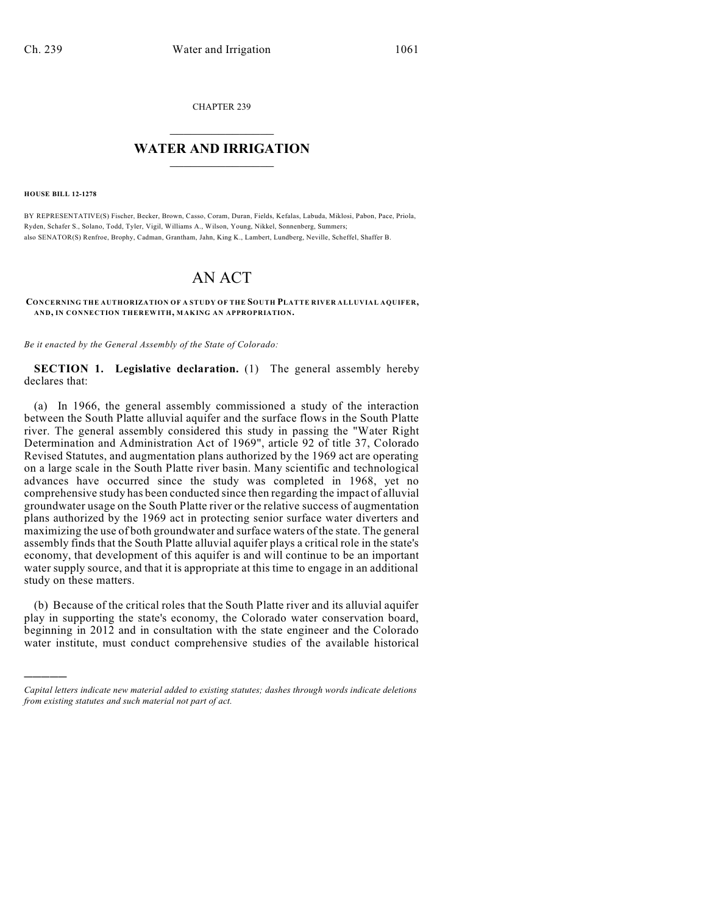CHAPTER 239

## $\overline{\phantom{a}}$  . The set of the set of the set of the set of the set of the set of the set of the set of the set of the set of the set of the set of the set of the set of the set of the set of the set of the set of the set o **WATER AND IRRIGATION**  $\_$   $\_$

**HOUSE BILL 12-1278**

)))))

BY REPRESENTATIVE(S) Fischer, Becker, Brown, Casso, Coram, Duran, Fields, Kefalas, Labuda, Miklosi, Pabon, Pace, Priola, Ryden, Schafer S., Solano, Todd, Tyler, Vigil, Williams A., Wilson, Young, Nikkel, Sonnenberg, Summers; also SENATOR(S) Renfroe, Brophy, Cadman, Grantham, Jahn, King K., Lambert, Lundberg, Neville, Scheffel, Shaffer B.

## AN ACT

## **CONCERNING THE AUTHORIZATION OF A STUDY OF THE SOUTH PLATTE RIVER ALLUVIAL AQUIFER, AND, IN CONNECTION THEREWITH, MAKING AN APPROPRIATION.**

*Be it enacted by the General Assembly of the State of Colorado:*

**SECTION 1. Legislative declaration.** (1) The general assembly hereby declares that:

(a) In 1966, the general assembly commissioned a study of the interaction between the South Platte alluvial aquifer and the surface flows in the South Platte river. The general assembly considered this study in passing the "Water Right Determination and Administration Act of 1969", article 92 of title 37, Colorado Revised Statutes, and augmentation plans authorized by the 1969 act are operating on a large scale in the South Platte river basin. Many scientific and technological advances have occurred since the study was completed in 1968, yet no comprehensive study has been conducted since then regarding the impact of alluvial groundwater usage on the South Platte river or the relative success of augmentation plans authorized by the 1969 act in protecting senior surface water diverters and maximizing the use of both groundwater and surface waters of the state. The general assembly finds that the South Platte alluvial aquifer plays a critical role in the state's economy, that development of this aquifer is and will continue to be an important water supply source, and that it is appropriate at this time to engage in an additional study on these matters.

(b) Because of the critical roles that the South Platte river and its alluvial aquifer play in supporting the state's economy, the Colorado water conservation board, beginning in 2012 and in consultation with the state engineer and the Colorado water institute, must conduct comprehensive studies of the available historical

*Capital letters indicate new material added to existing statutes; dashes through words indicate deletions from existing statutes and such material not part of act.*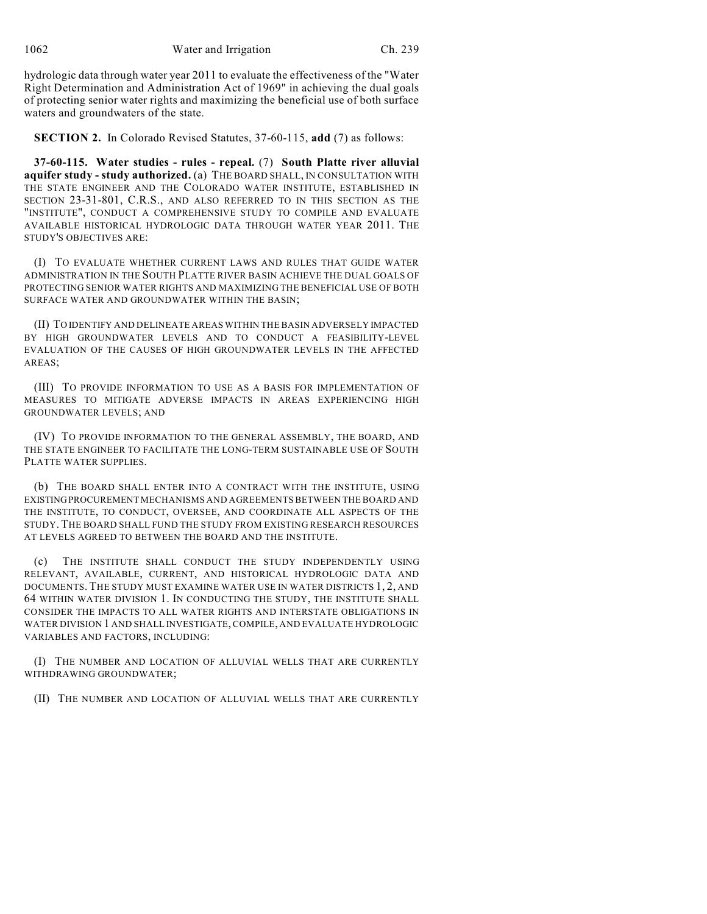hydrologic data through water year 2011 to evaluate the effectiveness of the "Water Right Determination and Administration Act of 1969" in achieving the dual goals of protecting senior water rights and maximizing the beneficial use of both surface waters and groundwaters of the state.

**SECTION 2.** In Colorado Revised Statutes, 37-60-115, **add** (7) as follows:

**37-60-115. Water studies - rules - repeal.** (7) **South Platte river alluvial aquifer study - study authorized.** (a) THE BOARD SHALL, IN CONSULTATION WITH THE STATE ENGINEER AND THE COLORADO WATER INSTITUTE, ESTABLISHED IN SECTION 23-31-801, C.R.S., AND ALSO REFERRED TO IN THIS SECTION AS THE "INSTITUTE", CONDUCT A COMPREHENSIVE STUDY TO COMPILE AND EVALUATE AVAILABLE HISTORICAL HYDROLOGIC DATA THROUGH WATER YEAR 2011. THE STUDY'S OBJECTIVES ARE:

(I) TO EVALUATE WHETHER CURRENT LAWS AND RULES THAT GUIDE WATER ADMINISTRATION IN THE SOUTH PLATTE RIVER BASIN ACHIEVE THE DUAL GOALS OF PROTECTING SENIOR WATER RIGHTS AND MAXIMIZING THE BENEFICIAL USE OF BOTH SURFACE WATER AND GROUNDWATER WITHIN THE BASIN;

(II) TO IDENTIFY AND DELINEATE AREAS WITHIN THE BASIN ADVERSELY IMPACTED BY HIGH GROUNDWATER LEVELS AND TO CONDUCT A FEASIBILITY-LEVEL EVALUATION OF THE CAUSES OF HIGH GROUNDWATER LEVELS IN THE AFFECTED AREAS;

(III) TO PROVIDE INFORMATION TO USE AS A BASIS FOR IMPLEMENTATION OF MEASURES TO MITIGATE ADVERSE IMPACTS IN AREAS EXPERIENCING HIGH GROUNDWATER LEVELS; AND

(IV) TO PROVIDE INFORMATION TO THE GENERAL ASSEMBLY, THE BOARD, AND THE STATE ENGINEER TO FACILITATE THE LONG-TERM SUSTAINABLE USE OF SOUTH PLATTE WATER SUPPLIES.

(b) THE BOARD SHALL ENTER INTO A CONTRACT WITH THE INSTITUTE, USING EXISTINGPROCUREMENT MECHANISMS AND AGREEMENTS BETWEEN THE BOARD AND THE INSTITUTE, TO CONDUCT, OVERSEE, AND COORDINATE ALL ASPECTS OF THE STUDY. THE BOARD SHALL FUND THE STUDY FROM EXISTING RESEARCH RESOURCES AT LEVELS AGREED TO BETWEEN THE BOARD AND THE INSTITUTE.

(c) THE INSTITUTE SHALL CONDUCT THE STUDY INDEPENDENTLY USING RELEVANT, AVAILABLE, CURRENT, AND HISTORICAL HYDROLOGIC DATA AND DOCUMENTS. THE STUDY MUST EXAMINE WATER USE IN WATER DISTRICTS 1, 2, AND 64 WITHIN WATER DIVISION 1. IN CONDUCTING THE STUDY, THE INSTITUTE SHALL CONSIDER THE IMPACTS TO ALL WATER RIGHTS AND INTERSTATE OBLIGATIONS IN WATER DIVISION 1 AND SHALL INVESTIGATE, COMPILE, AND EVALUATE HYDROLOGIC VARIABLES AND FACTORS, INCLUDING:

(I) THE NUMBER AND LOCATION OF ALLUVIAL WELLS THAT ARE CURRENTLY WITHDRAWING GROUNDWATER;

(II) THE NUMBER AND LOCATION OF ALLUVIAL WELLS THAT ARE CURRENTLY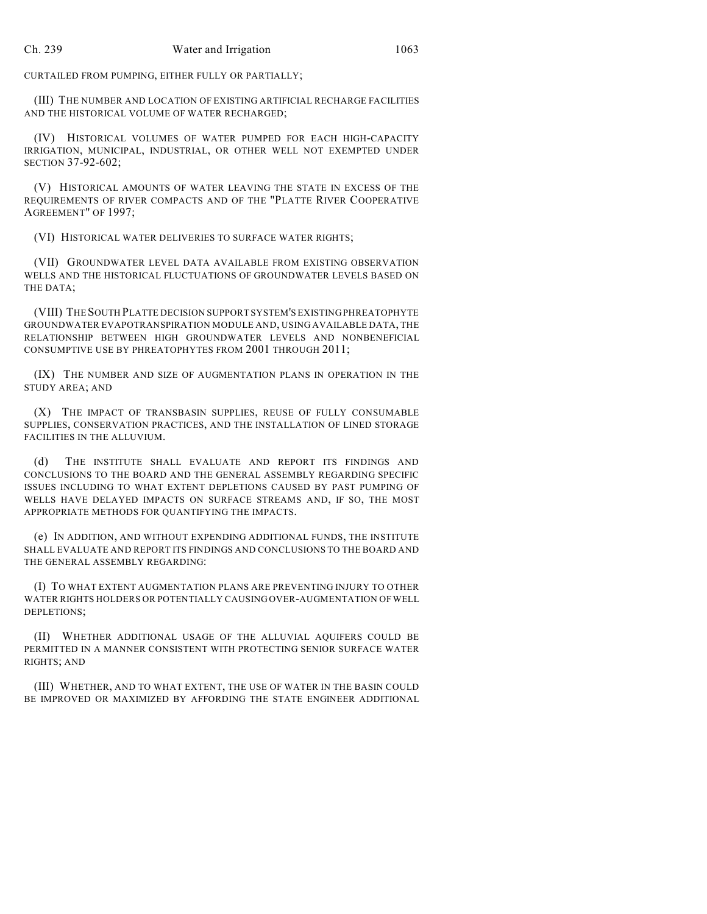CURTAILED FROM PUMPING, EITHER FULLY OR PARTIALLY;

(III) THE NUMBER AND LOCATION OF EXISTING ARTIFICIAL RECHARGE FACILITIES AND THE HISTORICAL VOLUME OF WATER RECHARGED;

(IV) HISTORICAL VOLUMES OF WATER PUMPED FOR EACH HIGH-CAPACITY IRRIGATION, MUNICIPAL, INDUSTRIAL, OR OTHER WELL NOT EXEMPTED UNDER SECTION 37-92-602;

(V) HISTORICAL AMOUNTS OF WATER LEAVING THE STATE IN EXCESS OF THE REQUIREMENTS OF RIVER COMPACTS AND OF THE "PLATTE RIVER COOPERATIVE AGREEMENT" OF 1997;

(VI) HISTORICAL WATER DELIVERIES TO SURFACE WATER RIGHTS;

(VII) GROUNDWATER LEVEL DATA AVAILABLE FROM EXISTING OBSERVATION WELLS AND THE HISTORICAL FLUCTUATIONS OF GROUNDWATER LEVELS BASED ON THE DATA;

(VIII) THE SOUTH PLATTE DECISION SUPPORT SYSTEM'S EXISTING PHREATOPHYTE GROUNDWATER EVAPOTRANSPIRATION MODULE AND, USING AVAILABLE DATA, THE RELATIONSHIP BETWEEN HIGH GROUNDWATER LEVELS AND NONBENEFICIAL CONSUMPTIVE USE BY PHREATOPHYTES FROM 2001 THROUGH 2011;

(IX) THE NUMBER AND SIZE OF AUGMENTATION PLANS IN OPERATION IN THE STUDY AREA; AND

(X) THE IMPACT OF TRANSBASIN SUPPLIES, REUSE OF FULLY CONSUMABLE SUPPLIES, CONSERVATION PRACTICES, AND THE INSTALLATION OF LINED STORAGE FACILITIES IN THE ALLUVIUM.

(d) THE INSTITUTE SHALL EVALUATE AND REPORT ITS FINDINGS AND CONCLUSIONS TO THE BOARD AND THE GENERAL ASSEMBLY REGARDING SPECIFIC ISSUES INCLUDING TO WHAT EXTENT DEPLETIONS CAUSED BY PAST PUMPING OF WELLS HAVE DELAYED IMPACTS ON SURFACE STREAMS AND, IF SO, THE MOST APPROPRIATE METHODS FOR QUANTIFYING THE IMPACTS.

(e) IN ADDITION, AND WITHOUT EXPENDING ADDITIONAL FUNDS, THE INSTITUTE SHALL EVALUATE AND REPORT ITS FINDINGS AND CONCLUSIONS TO THE BOARD AND THE GENERAL ASSEMBLY REGARDING:

(I) TO WHAT EXTENT AUGMENTATION PLANS ARE PREVENTING INJURY TO OTHER WATER RIGHTS HOLDERS OR POTENTIALLY CAUSING OVER-AUGMENTATION OF WELL DEPLETIONS;

(II) WHETHER ADDITIONAL USAGE OF THE ALLUVIAL AQUIFERS COULD BE PERMITTED IN A MANNER CONSISTENT WITH PROTECTING SENIOR SURFACE WATER RIGHTS; AND

(III) WHETHER, AND TO WHAT EXTENT, THE USE OF WATER IN THE BASIN COULD BE IMPROVED OR MAXIMIZED BY AFFORDING THE STATE ENGINEER ADDITIONAL